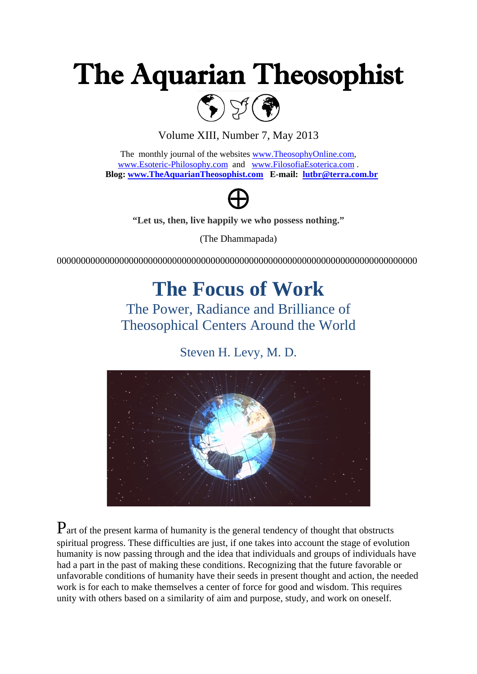# The Aquarian Theosophist



Volume XIII, Number 7, May 2013

The monthly journal of the websites [www.TheosophyOnline.com,](http://www.theosophyonline.com/) [www.Esoteric-Philosophy.com](http://www.esoteric-philosophy.com/) and [www.FilosofiaEsoterica.com](http://www.filosofiaesoterica.com/) .  **Blog: [www.TheAquarianTheosophist.com](http://www.theaquariantheosophist.com/) E-mail: [lutbr@terra.com.br](mailto:lutbr@terra.com.br)**



**"Let us, then, live happily we who possess nothing."**

(The Dhammapada)

000000000000000000000000000000000000000000000000000000000000000000000000000

## **The Focus of Work**

The Power, Radiance and Brilliance of Theosophical Centers Around the World

#### Steven H. Levy, M. D.



 $P$ art of the present karma of humanity is the general tendency of thought that obstructs spiritual progress. These difficulties are just, if one takes into account the stage of evolution humanity is now passing through and the idea that individuals and groups of individuals have had a part in the past of making these conditions. Recognizing that the future favorable or unfavorable conditions of humanity have their seeds in present thought and action, the needed work is for each to make themselves a center of force for good and wisdom. This requires unity with others based on a similarity of aim and purpose, study, and work on oneself.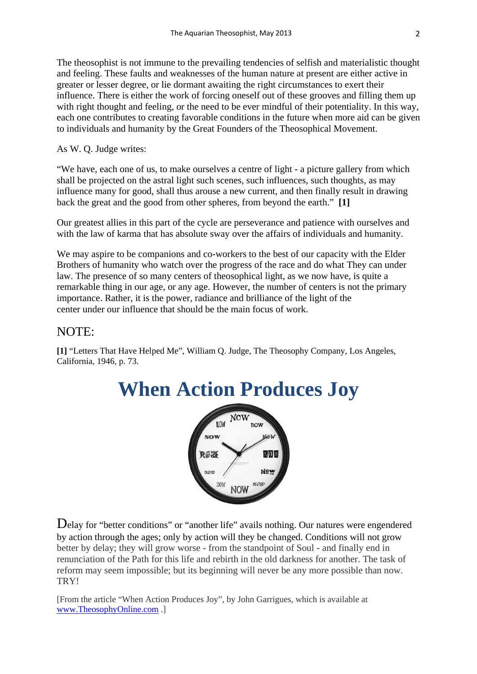The theosophist is not immune to the prevailing tendencies of selfish and materialistic thought and feeling. These faults and weaknesses of the human nature at present are either active in greater or lesser degree, or lie dormant awaiting the right circumstances to exert their influence. There is either the work of forcing oneself out of these grooves and filling them up with right thought and feeling, or the need to be ever mindful of their potentiality. In this way, each one contributes to creating favorable conditions in the future when more aid can be given to individuals and humanity by the Great Founders of the Theosophical Movement.

As W. Q. Judge writes:

"We have, each one of us, to make ourselves a centre of light - a picture gallery from which shall be projected on the astral light such scenes, such influences, such thoughts, as may influence many for good, shall thus arouse a new current, and then finally result in drawing back the great and the good from other spheres, from beyond the earth." **[1]**

Our greatest allies in this part of the cycle are perseverance and patience with ourselves and with the law of karma that has absolute sway over the affairs of individuals and humanity.

We may aspire to be companions and co-workers to the best of our capacity with the Elder Brothers of humanity who watch over the progress of the race and do what They can under law. The presence of so many centers of theosophical light, as we now have, is quite a remarkable thing in our age, or any age. However, the number of centers is not the primary importance. Rather, it is the power, radiance and brilliance of the light of the center under our influence that should be the main focus of work.

#### NOTE:

**[1]** "Letters That Have Helped Me", William Q. Judge, The Theosophy Company, Los Angeles, California, 1946, p. 73.



Delay for "better conditions" or "another life" avails nothing. Our natures were engendered by action through the ages; only by action will they be changed. Conditions will not grow better by delay; they will grow worse - from the standpoint of Soul - and finally end in renunciation of the Path for this life and rebirth in the old darkness for another. The task of reform may seem impossible; but its beginning will never be any more possible than now. TRY!

[From the article "When Action Produces Joy", by John Garrigues, which is available at [www.TheosophyOnline.com](http://www.theosophyonline.com/) .]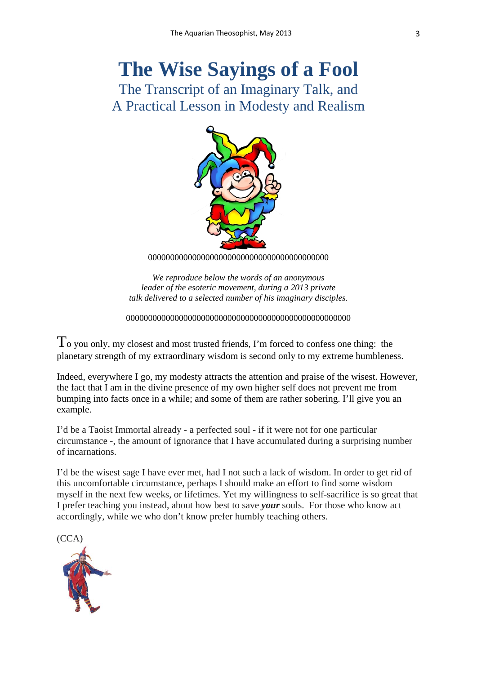## **The Wise Sayings of a Fool**

The Transcript of an Imaginary Talk, and A Practical Lesson in Modesty and Realism



00000000000000000000000000000000000000000

*We reproduce below the words of an anonymous leader of the esoteric movement, during a 2013 private talk delivered to a selected number of his imaginary disciples.*

000000000000000000000000000000000000000000000000000

To you only, my closest and most trusted friends, I'm forced to confess one thing: the planetary strength of my extraordinary wisdom is second only to my extreme humbleness.

Indeed, everywhere I go, my modesty attracts the attention and praise of the wisest. However, the fact that I am in the divine presence of my own higher self does not prevent me from bumping into facts once in a while; and some of them are rather sobering. I'll give you an example.

I'd be a Taoist Immortal already - a perfected soul - if it were not for one particular circumstance -, the amount of ignorance that I have accumulated during a surprising number of incarnations.

I'd be the wisest sage I have ever met, had I not such a lack of wisdom. In order to get rid of this uncomfortable circumstance, perhaps I should make an effort to find some wisdom myself in the next few weeks, or lifetimes. Yet my willingness to self-sacrifice is so great that I prefer teaching you instead, about how best to save *your* souls. For those who know act accordingly, while we who don't know prefer humbly teaching others.



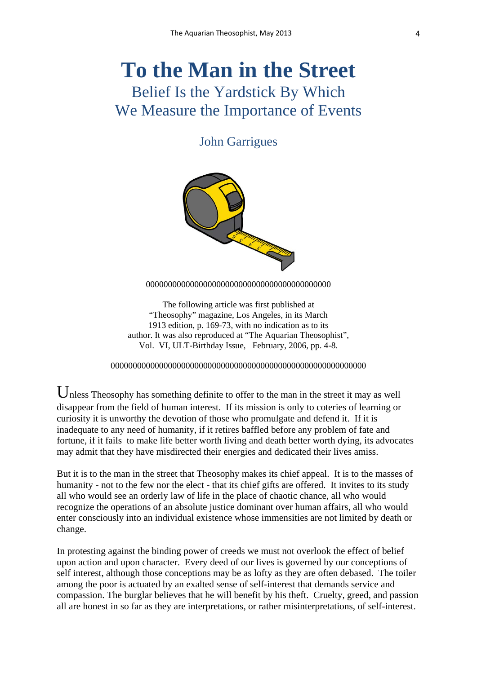### **To the Man in the Street** Belief Is the Yardstick By Which We Measure the Importance of Events

John Garrigues



000000000000000000000000000000000000000000

The following article was first published at "Theosophy" magazine, Los Angeles, in its March 1913 edition, p. 169-73, with no indication as to its author. It was also reproduced at "The Aquarian Theosophist", Vol. VI, ULT-Birthday Issue, February, 2006, pp. 4-8.

0000000000000000000000000000000000000000000000000000000000

Unless Theosophy has something definite to offer to the man in the street it may as well disappear from the field of human interest. If its mission is only to coteries of learning or curiosity it is unworthy the devotion of those who promulgate and defend it. If it is inadequate to any need of humanity, if it retires baffled before any problem of fate and fortune, if it fails to make life better worth living and death better worth dying, its advocates may admit that they have misdirected their energies and dedicated their lives amiss.

But it is to the man in the street that Theosophy makes its chief appeal. It is to the masses of humanity - not to the few nor the elect - that its chief gifts are offered. It invites to its study all who would see an orderly law of life in the place of chaotic chance, all who would recognize the operations of an absolute justice dominant over human affairs, all who would enter consciously into an individual existence whose immensities are not limited by death or change.

In protesting against the binding power of creeds we must not overlook the effect of belief upon action and upon character. Every deed of our lives is governed by our conceptions of self interest, although those conceptions may be as lofty as they are often debased. The toiler among the poor is actuated by an exalted sense of self-interest that demands service and compassion. The burglar believes that he will benefit by his theft. Cruelty, greed, and passion all are honest in so far as they are interpretations, or rather misinterpretations, of self-interest.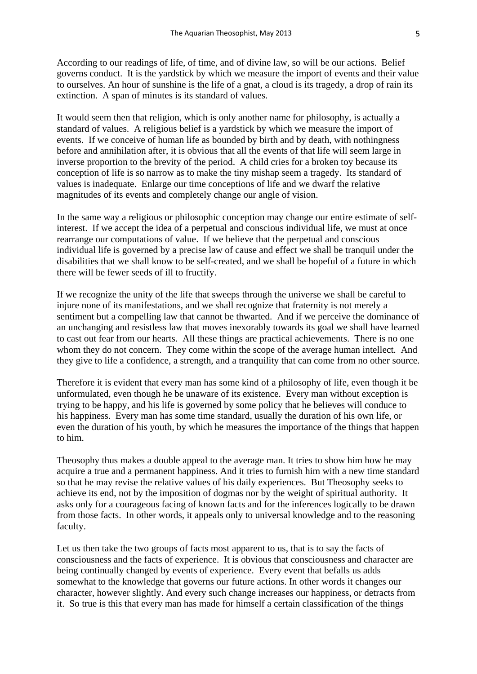According to our readings of life, of time, and of divine law, so will be our actions. Belief governs conduct. It is the yardstick by which we measure the import of events and their value to ourselves. An hour of sunshine is the life of a gnat, a cloud is its tragedy, a drop of rain its extinction. A span of minutes is its standard of values.

It would seem then that religion, which is only another name for philosophy, is actually a standard of values. A religious belief is a yardstick by which we measure the import of events. If we conceive of human life as bounded by birth and by death, with nothingness before and annihilation after, it is obvious that all the events of that life will seem large in inverse proportion to the brevity of the period. A child cries for a broken toy because its conception of life is so narrow as to make the tiny mishap seem a tragedy. Its standard of values is inadequate. Enlarge our time conceptions of life and we dwarf the relative magnitudes of its events and completely change our angle of vision.

In the same way a religious or philosophic conception may change our entire estimate of selfinterest. If we accept the idea of a perpetual and conscious individual life, we must at once rearrange our computations of value. If we believe that the perpetual and conscious individual life is governed by a precise law of cause and effect we shall be tranquil under the disabilities that we shall know to be self-created, and we shall be hopeful of a future in which there will be fewer seeds of ill to fructify.

If we recognize the unity of the life that sweeps through the universe we shall be careful to injure none of its manifestations, and we shall recognize that fraternity is not merely a sentiment but a compelling law that cannot be thwarted. And if we perceive the dominance of an unchanging and resistless law that moves inexorably towards its goal we shall have learned to cast out fear from our hearts. All these things are practical achievements. There is no one whom they do not concern. They come within the scope of the average human intellect. And they give to life a confidence, a strength, and a tranquility that can come from no other source.

Therefore it is evident that every man has some kind of a philosophy of life, even though it be unformulated, even though he be unaware of its existence. Every man without exception is trying to be happy, and his life is governed by some policy that he believes will conduce to his happiness. Every man has some time standard, usually the duration of his own life, or even the duration of his youth, by which he measures the importance of the things that happen to him.

Theosophy thus makes a double appeal to the average man. It tries to show him how he may acquire a true and a permanent happiness. And it tries to furnish him with a new time standard so that he may revise the relative values of his daily experiences. But Theosophy seeks to achieve its end, not by the imposition of dogmas nor by the weight of spiritual authority. It asks only for a courageous facing of known facts and for the inferences logically to be drawn from those facts. In other words, it appeals only to universal knowledge and to the reasoning faculty.

Let us then take the two groups of facts most apparent to us, that is to say the facts of consciousness and the facts of experience. It is obvious that consciousness and character are being continually changed by events of experience. Every event that befalls us adds somewhat to the knowledge that governs our future actions. In other words it changes our character, however slightly. And every such change increases our happiness, or detracts from it. So true is this that every man has made for himself a certain classification of the things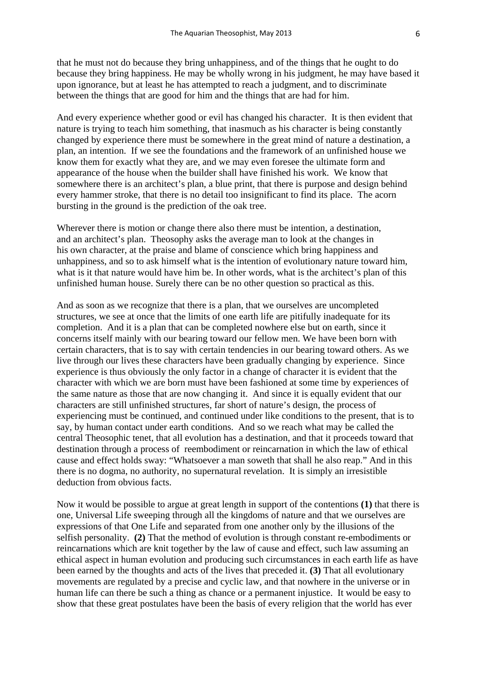that he must not do because they bring unhappiness, and of the things that he ought to do because they bring happiness. He may be wholly wrong in his judgment, he may have based it upon ignorance, but at least he has attempted to reach a judgment, and to discriminate between the things that are good for him and the things that are had for him.

And every experience whether good or evil has changed his character. It is then evident that nature is trying to teach him something, that inasmuch as his character is being constantly changed by experience there must be somewhere in the great mind of nature a destination, a plan, an intention. If we see the foundations and the framework of an unfinished house we know them for exactly what they are, and we may even foresee the ultimate form and appearance of the house when the builder shall have finished his work. We know that somewhere there is an architect's plan, a blue print, that there is purpose and design behind every hammer stroke, that there is no detail too insignificant to find its place. The acorn bursting in the ground is the prediction of the oak tree.

Wherever there is motion or change there also there must be intention, a destination, and an architect's plan. Theosophy asks the average man to look at the changes in his own character, at the praise and blame of conscience which bring happiness and unhappiness, and so to ask himself what is the intention of evolutionary nature toward him, what is it that nature would have him be. In other words, what is the architect's plan of this unfinished human house. Surely there can be no other question so practical as this.

And as soon as we recognize that there is a plan, that we ourselves are uncompleted structures, we see at once that the limits of one earth life are pitifully inadequate for its completion. And it is a plan that can be completed nowhere else but on earth, since it concerns itself mainly with our bearing toward our fellow men. We have been born with certain characters, that is to say with certain tendencies in our bearing toward others. As we live through our lives these characters have been gradually changing by experience. Since experience is thus obviously the only factor in a change of character it is evident that the character with which we are born must have been fashioned at some time by experiences of the same nature as those that are now changing it. And since it is equally evident that our characters are still unfinished structures, far short of nature's design, the process of experiencing must be continued, and continued under like conditions to the present, that is to say, by human contact under earth conditions. And so we reach what may be called the central Theosophic tenet, that all evolution has a destination, and that it proceeds toward that destination through a process of reembodiment or reincarnation in which the law of ethical cause and effect holds sway: "Whatsoever a man soweth that shall he also reap." And in this there is no dogma, no authority, no supernatural revelation. It is simply an irresistible deduction from obvious facts.

Now it would be possible to argue at great length in support of the contentions **(1)** that there is one, Universal Life sweeping through all the kingdoms of nature and that we ourselves are expressions of that One Life and separated from one another only by the illusions of the selfish personality. **(2)** That the method of evolution is through constant re-embodiments or reincarnations which are knit together by the law of cause and effect, such law assuming an ethical aspect in human evolution and producing such circumstances in each earth life as have been earned by the thoughts and acts of the lives that preceded it. **(3)** That all evolutionary movements are regulated by a precise and cyclic law, and that nowhere in the universe or in human life can there be such a thing as chance or a permanent injustice. It would be easy to show that these great postulates have been the basis of every religion that the world has ever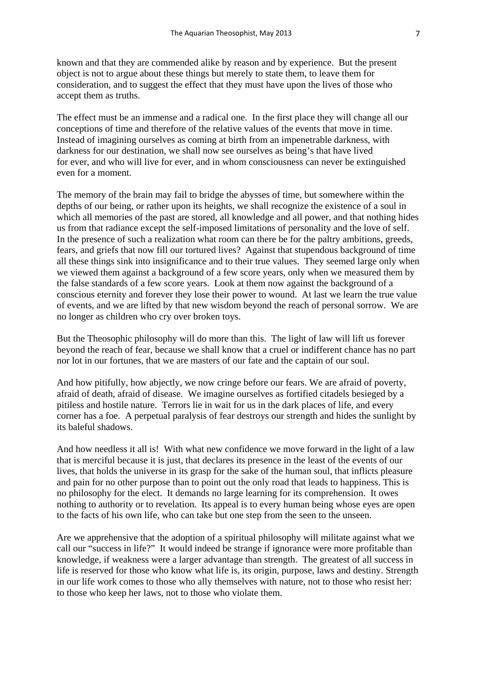known and that they are commended alike by reason and by experience. But the present object is not to argue about these things but merely to state them, to leave them for consideration, and to suggest the effect that they must have upon the lives of those who accept them as truths.

The effect must be an immense and a radical one. In the first place they will change all our conceptions of time and therefore of the relative values of the events that move in time. Instead of imagining ourselves as coming at birth from an impenetrable darkness, with darkness for our destination, we shall now see ourselves as being's that have lived for ever, and who will live for ever, and in whom consciousness can never be extinguished even for a moment.

The memory of the brain may fail to bridge the abysses of time, but somewhere within the depths of our being, or rather upon its heights, we shall recognize the existence of a soul in which all memories of the past are stored, all knowledge and all power, and that nothing hides us from that radiance except the self-imposed limitations of personality and the love of self. In the presence of such a realization what room can there be for the paltry ambitions, greeds, fears, and griefs that now fill our tortured lives? Against that stupendous background of time all these things sink into insignificance and to their true values. They seemed large only when we viewed them against a background of a few score years, only when we measured them by the false standards of a few score years. Look at them now against the background of a conscious eternity and forever they lose their power to wound. At last we learn the true value of events, and we are lifted by that new wisdom beyond the reach of personal sorrow. We are no longer as children who cry over broken toys.

But the Theosophic philosophy will do more than this. The light of law will lift us forever beyond the reach of fear, because we shall know that a cruel or indifferent chance has no part nor lot in our fortunes, that we are masters of our fate and the captain of our soul.

And how pitifully, how abjectly, we now cringe before our fears. We are afraid of poverty, afraid of death, afraid of disease. We imagine ourselves as fortified citadels besieged by a pitiless and hostile nature. Terrors lie in wait for us in the dark places of life, and every corner has a foe. A perpetual paralysis of fear destroys our strength and hides the sunlight by its baleful shadows.

And how needless it all is! With what new confidence we move forward in the light of a law that is merciful because it is just, that declares its presence in the least of the events of our lives, that holds the universe in its grasp for the sake of the human soul, that inflicts pleasure and pain for no other purpose than to point out the only road that leads to happiness. This is no philosophy for the elect. It demands no large learning for its comprehension. It owes nothing to authority or to revelation. Its appeal is to every human being whose eyes are open to the facts of his own life, who can take but one step from the seen to the unseen.

Are we apprehensive that the adoption of a spiritual philosophy will militate against what we call our "success in life?" It would indeed be strange if ignorance were more profitable than knowledge, if weakness were a larger advantage than strength. The greatest of all success in life is reserved for those who know what life is, its origin, purpose, laws and destiny. Strength in our life work comes to those who ally themselves with nature, not to those who resist her: to those who keep her laws, not to those who violate them.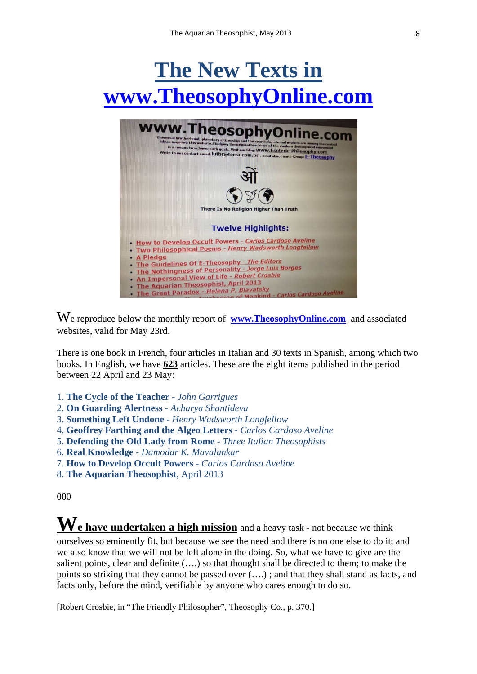

We reproduce below the monthly report of **[www.TheosophyOnline.com](http://www.theosophyonline.com/)** and associated websites, valid for May 23rd.

There is one book in French, four articles in Italian and 30 texts in Spanish, among which two books. In English, we have **623** articles. These are the eight items published in the period between 22 April and 23 May:

- 1. **The Cycle of the Teacher** *John Garrigues*
- 2. **On Guarding Alertness** *Acharya Shantideva*
- 3. **Something Left Undone** *Henry Wadsworth Longfellow*
- 4. **Geoffrey Farthing and the Algeo Letters** *Carlos Cardoso Aveline*
- 5. **Defending the Old Lady from Rome** *Three Italian Theosophists*
- 6. **Real Knowledge** *Damodar K. Mavalankar*
- 7. **How to Develop Occult Powers** *Carlos Cardoso Aveline*
- 8. **The Aquarian Theosophist**, April 2013

000

**We have undertaken a high mission** and a heavy task - not because we think ourselves so eminently fit, but because we see the need and there is no one else to do it; and we also know that we will not be left alone in the doing. So, what we have to give are the salient points, clear and definite (….) so that thought shall be directed to them; to make the points so striking that they cannot be passed over (….) ; and that they shall stand as facts, and

[Robert Crosbie, in "The Friendly Philosopher", Theosophy Co., p. 370.]

facts only, before the mind, verifiable by anyone who cares enough to do so.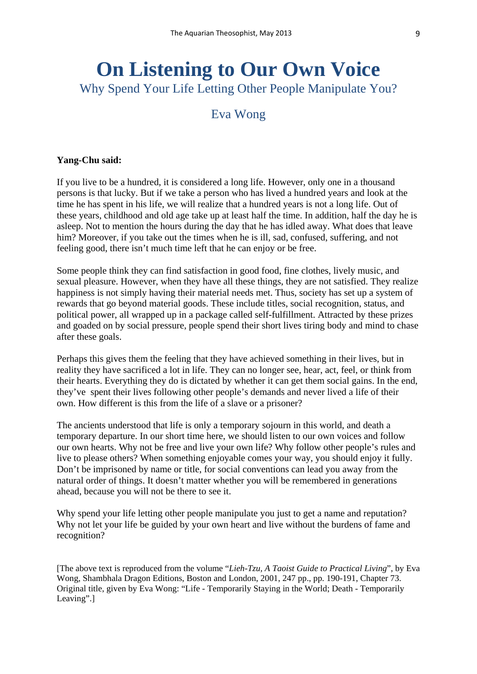### **On Listening to Our Own Voice** Why Spend Your Life Letting Other People Manipulate You?

#### Eva Wong

#### **Yang-Chu said:**

If you live to be a hundred, it is considered a long life. However, only one in a thousand persons is that lucky. But if we take a person who has lived a hundred years and look at the time he has spent in his life, we will realize that a hundred years is not a long life. Out of these years, childhood and old age take up at least half the time. In addition, half the day he is asleep. Not to mention the hours during the day that he has idled away. What does that leave him? Moreover, if you take out the times when he is ill, sad, confused, suffering, and not feeling good, there isn't much time left that he can enjoy or be free.

Some people think they can find satisfaction in good food, fine clothes, lively music, and sexual pleasure. However, when they have all these things, they are not satisfied. They realize happiness is not simply having their material needs met. Thus, society has set up a system of rewards that go beyond material goods. These include titles, social recognition, status, and political power, all wrapped up in a package called self-fulfillment. Attracted by these prizes and goaded on by social pressure, people spend their short lives tiring body and mind to chase after these goals.

Perhaps this gives them the feeling that they have achieved something in their lives, but in reality they have sacrificed a lot in life. They can no longer see, hear, act, feel, or think from their hearts. Everything they do is dictated by whether it can get them social gains. In the end, they've spent their lives following other people's demands and never lived a life of their own. How different is this from the life of a slave or a prisoner?

The ancients understood that life is only a temporary sojourn in this world, and death a temporary departure. In our short time here, we should listen to our own voices and follow our own hearts. Why not be free and live your own life? Why follow other people's rules and live to please others? When something enjoyable comes your way, you should enjoy it fully. Don't be imprisoned by name or title, for social conventions can lead you away from the natural order of things. It doesn't matter whether you will be remembered in generations ahead, because you will not be there to see it.

Why spend your life letting other people manipulate you just to get a name and reputation? Why not let your life be guided by your own heart and live without the burdens of fame and recognition?

[The above text is reproduced from the volume "*Lieh-Tzu, A Taoist Guide to Practical Living*", by Eva Wong, Shambhala Dragon Editions, Boston and London, 2001, 247 pp., pp. 190-191, Chapter 73. Original title, given by Eva Wong: "Life - Temporarily Staying in the World; Death - Temporarily Leaving".]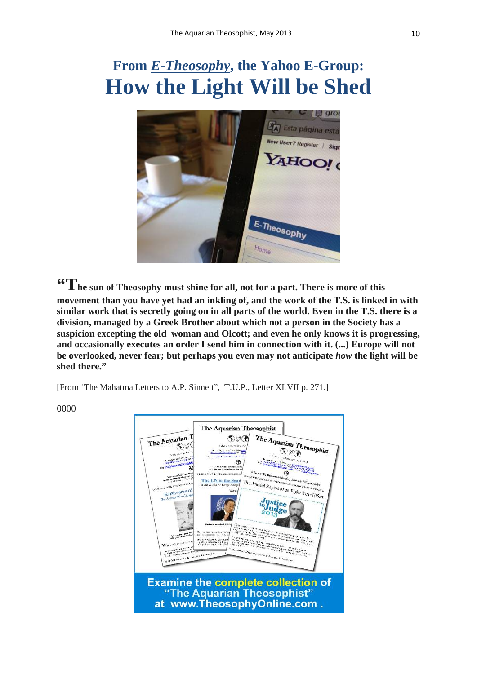### **From** *E-Theosophy***, the Yahoo E-Group: How the Light Will be Shed**



 ${\bf T}$ he sun of Theosophy must shine for all, not for a part. There is more of this **movement than you have yet had an inkling of, and the work of the T.S. is linked in with similar work that is secretly going on in all parts of the world. Even in the T.S. there is a division, managed by a Greek Brother about which not a person in the Society has a suspicion excepting the old woman and Olcott; and even he only knows it is progressing, and occasionally executes an order I send him in connection with it. (...) Europe will not be overlooked, never fear; but perhaps you even may not anticipate** *how* **the light will be shed there."** 

[From 'The Mahatma Letters to A.P. Sinnett", T.U.P., Letter XLVII p. 271.]

0000

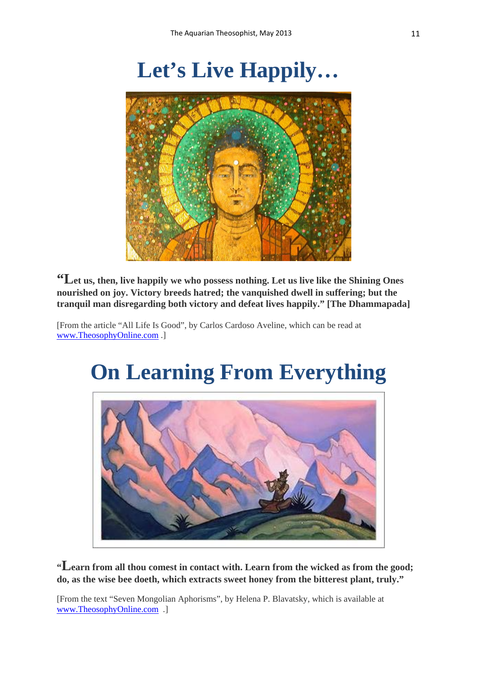## **Let's Live Happily…**



**"Let us, then, live happily we who possess nothing. Let us live like the Shining Ones nourished on joy. Victory breeds hatred; the vanquished dwell in suffering; but the tranquil man disregarding both victory and defeat lives happily." [The Dhammapada]**

[From the article "All Life Is Good", by Carlos Cardoso Aveline, which can be read at [www.TheosophyOnline.com](http://www.theosophyonline.com/) .]

## **On Learning From Everything**



**"Learn from all thou comest in contact with. Learn from the wicked as from the good; do, as the wise bee doeth, which extracts sweet honey from the bitterest plant, truly."**

[From the text "Seven Mongolian Aphorisms", by Helena P. Blavatsky, which is available at [www.TheosophyOnline.com](http://www.theosophyonline.com/) .]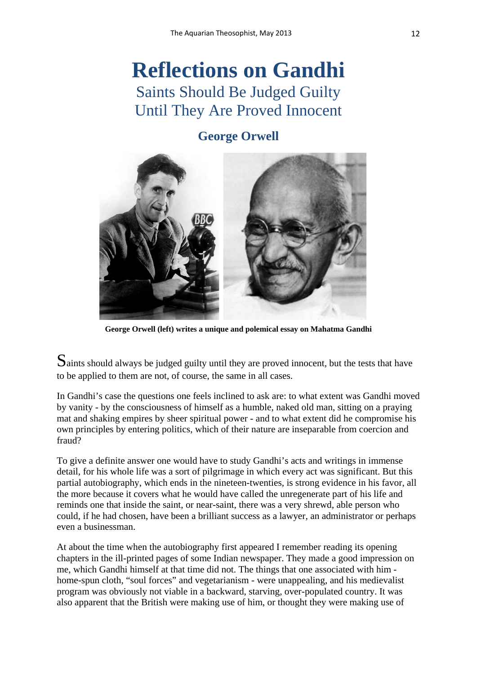### **Reflections on Gandhi** Saints Should Be Judged Guilty Until They Are Proved Innocent

#### **George Orwell**



**George Orwell (left) writes a unique and polemical essay on Mahatma Gandhi**

Saints should always be judged guilty until they are proved innocent, but the tests that have to be applied to them are not, of course, the same in all cases.

In Gandhi's case the questions one feels inclined to ask are: to what extent was Gandhi moved by vanity - by the consciousness of himself as a humble, naked old man, sitting on a praying mat and shaking empires by sheer spiritual power - and to what extent did he compromise his own principles by entering politics, which of their nature are inseparable from coercion and fraud?

To give a definite answer one would have to study Gandhi's acts and writings in immense detail, for his whole life was a sort of pilgrimage in which every act was significant. But this partial autobiography, which ends in the nineteen-twenties, is strong evidence in his favor, all the more because it covers what he would have called the unregenerate part of his life and reminds one that inside the saint, or near-saint, there was a very shrewd, able person who could, if he had chosen, have been a brilliant success as a lawyer, an administrator or perhaps even a businessman.

At about the time when the autobiography first appeared I remember reading its opening chapters in the ill-printed pages of some Indian newspaper. They made a good impression on me, which Gandhi himself at that time did not. The things that one associated with him home-spun cloth, "soul forces" and vegetarianism - were unappealing, and his medievalist program was obviously not viable in a backward, starving, over-populated country. It was also apparent that the British were making use of him, or thought they were making use of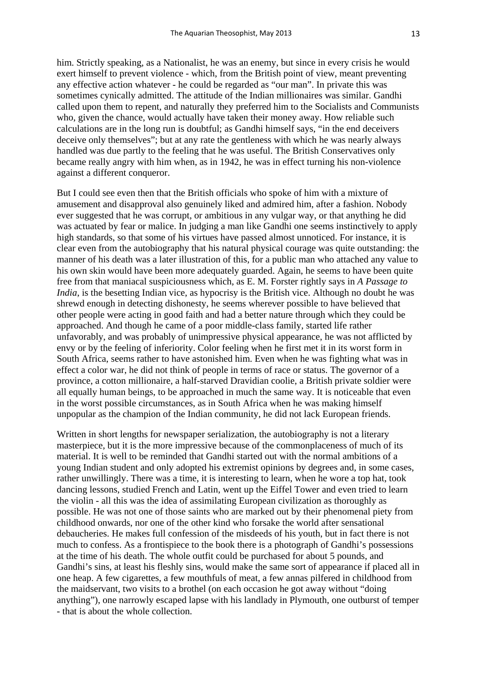him. Strictly speaking, as a Nationalist, he was an enemy, but since in every crisis he would exert himself to prevent violence - which, from the British point of view, meant preventing any effective action whatever - he could be regarded as "our man". In private this was sometimes cynically admitted. The attitude of the Indian millionaires was similar. Gandhi called upon them to repent, and naturally they preferred him to the Socialists and Communists who, given the chance, would actually have taken their money away. How reliable such calculations are in the long run is doubtful; as Gandhi himself says, "in the end deceivers deceive only themselves"; but at any rate the gentleness with which he was nearly always handled was due partly to the feeling that he was useful. The British Conservatives only became really angry with him when, as in 1942, he was in effect turning his non-violence against a different conqueror.

But I could see even then that the British officials who spoke of him with a mixture of amusement and disapproval also genuinely liked and admired him, after a fashion. Nobody ever suggested that he was corrupt, or ambitious in any vulgar way, or that anything he did was actuated by fear or malice. In judging a man like Gandhi one seems instinctively to apply high standards, so that some of his virtues have passed almost unnoticed. For instance, it is clear even from the autobiography that his natural physical courage was quite outstanding: the manner of his death was a later illustration of this, for a public man who attached any value to his own skin would have been more adequately guarded. Again, he seems to have been quite free from that maniacal suspiciousness which, as E. M. Forster rightly says in *A Passage to India*, is the besetting Indian vice, as hypocrisy is the British vice. Although no doubt he was shrewd enough in detecting dishonesty, he seems wherever possible to have believed that other people were acting in good faith and had a better nature through which they could be approached. And though he came of a poor middle-class family, started life rather unfavorably, and was probably of unimpressive physical appearance, he was not afflicted by envy or by the feeling of inferiority. Color feeling when he first met it in its worst form in South Africa, seems rather to have astonished him. Even when he was fighting what was in effect a color war, he did not think of people in terms of race or status. The governor of a province, a cotton millionaire, a half-starved Dravidian coolie, a British private soldier were all equally human beings, to be approached in much the same way. It is noticeable that even in the worst possible circumstances, as in South Africa when he was making himself unpopular as the champion of the Indian community, he did not lack European friends.

Written in short lengths for newspaper serialization, the autobiography is not a literary masterpiece, but it is the more impressive because of the commonplaceness of much of its material. It is well to be reminded that Gandhi started out with the normal ambitions of a young Indian student and only adopted his extremist opinions by degrees and, in some cases, rather unwillingly. There was a time, it is interesting to learn, when he wore a top hat, took dancing lessons, studied French and Latin, went up the Eiffel Tower and even tried to learn the violin - all this was the idea of assimilating European civilization as thoroughly as possible. He was not one of those saints who are marked out by their phenomenal piety from childhood onwards, nor one of the other kind who forsake the world after sensational debaucheries. He makes full confession of the misdeeds of his youth, but in fact there is not much to confess. As a frontispiece to the book there is a photograph of Gandhi's possessions at the time of his death. The whole outfit could be purchased for about 5 pounds, and Gandhi's sins, at least his fleshly sins, would make the same sort of appearance if placed all in one heap. A few cigarettes, a few mouthfuls of meat, a few annas pilfered in childhood from the maidservant, two visits to a brothel (on each occasion he got away without "doing anything"), one narrowly escaped lapse with his landlady in Plymouth, one outburst of temper - that is about the whole collection.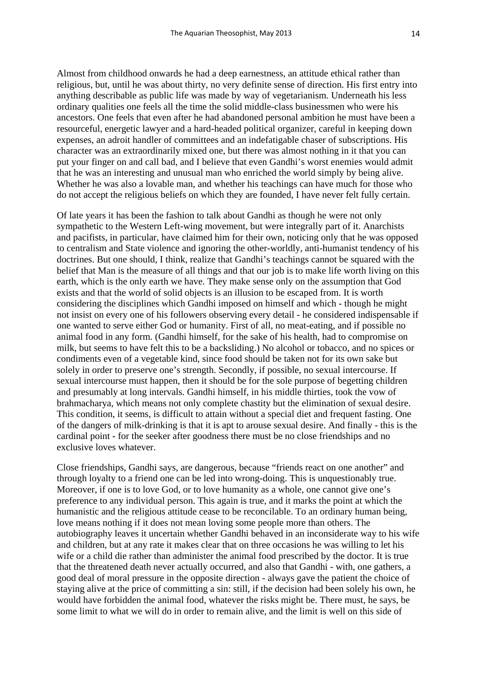Almost from childhood onwards he had a deep earnestness, an attitude ethical rather than religious, but, until he was about thirty, no very definite sense of direction. His first entry into anything describable as public life was made by way of vegetarianism. Underneath his less ordinary qualities one feels all the time the solid middle-class businessmen who were his ancestors. One feels that even after he had abandoned personal ambition he must have been a resourceful, energetic lawyer and a hard-headed political organizer, careful in keeping down expenses, an adroit handler of committees and an indefatigable chaser of subscriptions. His character was an extraordinarily mixed one, but there was almost nothing in it that you can put your finger on and call bad, and I believe that even Gandhi's worst enemies would admit that he was an interesting and unusual man who enriched the world simply by being alive. Whether he was also a lovable man, and whether his teachings can have much for those who do not accept the religious beliefs on which they are founded, I have never felt fully certain.

Of late years it has been the fashion to talk about Gandhi as though he were not only sympathetic to the Western Left-wing movement, but were integrally part of it. Anarchists and pacifists, in particular, have claimed him for their own, noticing only that he was opposed to centralism and State violence and ignoring the other-worldly, anti-humanist tendency of his doctrines. But one should, I think, realize that Gandhi's teachings cannot be squared with the belief that Man is the measure of all things and that our job is to make life worth living on this earth, which is the only earth we have. They make sense only on the assumption that God exists and that the world of solid objects is an illusion to be escaped from. It is worth considering the disciplines which Gandhi imposed on himself and which - though he might not insist on every one of his followers observing every detail - he considered indispensable if one wanted to serve either God or humanity. First of all, no meat-eating, and if possible no animal food in any form. (Gandhi himself, for the sake of his health, had to compromise on milk, but seems to have felt this to be a backsliding.) No alcohol or tobacco, and no spices or condiments even of a vegetable kind, since food should be taken not for its own sake but solely in order to preserve one's strength. Secondly, if possible, no sexual intercourse. If sexual intercourse must happen, then it should be for the sole purpose of begetting children and presumably at long intervals. Gandhi himself, in his middle thirties, took the vow of brahmacharya, which means not only complete chastity but the elimination of sexual desire. This condition, it seems, is difficult to attain without a special diet and frequent fasting. One of the dangers of milk-drinking is that it is apt to arouse sexual desire. And finally - this is the cardinal point - for the seeker after goodness there must be no close friendships and no exclusive loves whatever.

Close friendships, Gandhi says, are dangerous, because "friends react on one another" and through loyalty to a friend one can be led into wrong-doing. This is unquestionably true. Moreover, if one is to love God, or to love humanity as a whole, one cannot give one's preference to any individual person. This again is true, and it marks the point at which the humanistic and the religious attitude cease to be reconcilable. To an ordinary human being, love means nothing if it does not mean loving some people more than others. The autobiography leaves it uncertain whether Gandhi behaved in an inconsiderate way to his wife and children, but at any rate it makes clear that on three occasions he was willing to let his wife or a child die rather than administer the animal food prescribed by the doctor. It is true that the threatened death never actually occurred, and also that Gandhi - with, one gathers, a good deal of moral pressure in the opposite direction - always gave the patient the choice of staying alive at the price of committing a sin: still, if the decision had been solely his own, he would have forbidden the animal food, whatever the risks might be. There must, he says, be some limit to what we will do in order to remain alive, and the limit is well on this side of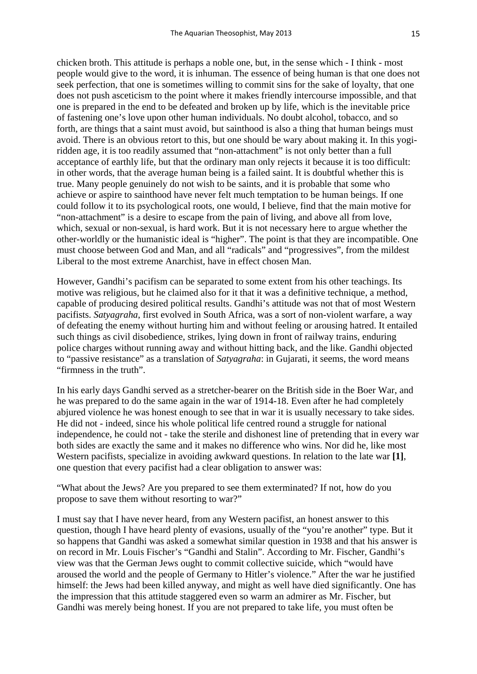chicken broth. This attitude is perhaps a noble one, but, in the sense which - I think - most people would give to the word, it is inhuman. The essence of being human is that one does not seek perfection, that one is sometimes willing to commit sins for the sake of loyalty, that one does not push asceticism to the point where it makes friendly intercourse impossible, and that one is prepared in the end to be defeated and broken up by life, which is the inevitable price of fastening one's love upon other human individuals. No doubt alcohol, tobacco, and so forth, are things that a saint must avoid, but sainthood is also a thing that human beings must avoid. There is an obvious retort to this, but one should be wary about making it. In this yogiridden age, it is too readily assumed that "non-attachment" is not only better than a full acceptance of earthly life, but that the ordinary man only rejects it because it is too difficult: in other words, that the average human being is a failed saint. It is doubtful whether this is true. Many people genuinely do not wish to be saints, and it is probable that some who achieve or aspire to sainthood have never felt much temptation to be human beings. If one could follow it to its psychological roots, one would, I believe, find that the main motive for "non-attachment" is a desire to escape from the pain of living, and above all from love, which, sexual or non-sexual, is hard work. But it is not necessary here to argue whether the other-worldly or the humanistic ideal is "higher". The point is that they are incompatible. One must choose between God and Man, and all "radicals" and "progressives", from the mildest Liberal to the most extreme Anarchist, have in effect chosen Man.

However, Gandhi's pacifism can be separated to some extent from his other teachings. Its motive was religious, but he claimed also for it that it was a definitive technique, a method, capable of producing desired political results. Gandhi's attitude was not that of most Western pacifists. *Satyagraha*, first evolved in South Africa, was a sort of non-violent warfare, a way of defeating the enemy without hurting him and without feeling or arousing hatred. It entailed such things as civil disobedience, strikes, lying down in front of railway trains, enduring police charges without running away and without hitting back, and the like. Gandhi objected to "passive resistance" as a translation of *Satyagraha*: in Gujarati, it seems, the word means "firmness in the truth".

In his early days Gandhi served as a stretcher-bearer on the British side in the Boer War, and he was prepared to do the same again in the war of 1914-18. Even after he had completely abjured violence he was honest enough to see that in war it is usually necessary to take sides. He did not - indeed, since his whole political life centred round a struggle for national independence, he could not - take the sterile and dishonest line of pretending that in every war both sides are exactly the same and it makes no difference who wins. Nor did he, like most Western pacifists, specialize in avoiding awkward questions. In relation to the late war **[1]**, one question that every pacifist had a clear obligation to answer was:

"What about the Jews? Are you prepared to see them exterminated? If not, how do you propose to save them without resorting to war?"

I must say that I have never heard, from any Western pacifist, an honest answer to this question, though I have heard plenty of evasions, usually of the "you're another" type. But it so happens that Gandhi was asked a somewhat similar question in 1938 and that his answer is on record in Mr. Louis Fischer's "Gandhi and Stalin". According to Mr. Fischer, Gandhi's view was that the German Jews ought to commit collective suicide, which "would have aroused the world and the people of Germany to Hitler's violence." After the war he justified himself: the Jews had been killed anyway, and might as well have died significantly. One has the impression that this attitude staggered even so warm an admirer as Mr. Fischer, but Gandhi was merely being honest. If you are not prepared to take life, you must often be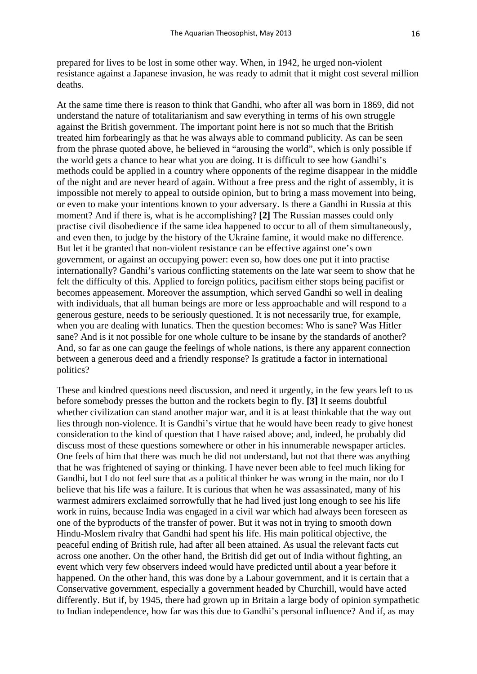prepared for lives to be lost in some other way. When, in 1942, he urged non-violent resistance against a Japanese invasion, he was ready to admit that it might cost several million deaths.

At the same time there is reason to think that Gandhi, who after all was born in 1869, did not understand the nature of totalitarianism and saw everything in terms of his own struggle against the British government. The important point here is not so much that the British treated him forbearingly as that he was always able to command publicity. As can be seen from the phrase quoted above, he believed in "arousing the world", which is only possible if the world gets a chance to hear what you are doing. It is difficult to see how Gandhi's methods could be applied in a country where opponents of the regime disappear in the middle of the night and are never heard of again. Without a free press and the right of assembly, it is impossible not merely to appeal to outside opinion, but to bring a mass movement into being, or even to make your intentions known to your adversary. Is there a Gandhi in Russia at this moment? And if there is, what is he accomplishing? **[2]** The Russian masses could only practise civil disobedience if the same idea happened to occur to all of them simultaneously, and even then, to judge by the history of the Ukraine famine, it would make no difference. But let it be granted that non-violent resistance can be effective against one's own government, or against an occupying power: even so, how does one put it into practise internationally? Gandhi's various conflicting statements on the late war seem to show that he felt the difficulty of this. Applied to foreign politics, pacifism either stops being pacifist or becomes appeasement. Moreover the assumption, which served Gandhi so well in dealing with individuals, that all human beings are more or less approachable and will respond to a generous gesture, needs to be seriously questioned. It is not necessarily true, for example, when you are dealing with lunatics. Then the question becomes: Who is sane? Was Hitler sane? And is it not possible for one whole culture to be insane by the standards of another? And, so far as one can gauge the feelings of whole nations, is there any apparent connection between a generous deed and a friendly response? Is gratitude a factor in international politics?

These and kindred questions need discussion, and need it urgently, in the few years left to us before somebody presses the button and the rockets begin to fly. **[3]** It seems doubtful whether civilization can stand another major war, and it is at least thinkable that the way out lies through non-violence. It is Gandhi's virtue that he would have been ready to give honest consideration to the kind of question that I have raised above; and, indeed, he probably did discuss most of these questions somewhere or other in his innumerable newspaper articles. One feels of him that there was much he did not understand, but not that there was anything that he was frightened of saying or thinking. I have never been able to feel much liking for Gandhi, but I do not feel sure that as a political thinker he was wrong in the main, nor do I believe that his life was a failure. It is curious that when he was assassinated, many of his warmest admirers exclaimed sorrowfully that he had lived just long enough to see his life work in ruins, because India was engaged in a civil war which had always been foreseen as one of the byproducts of the transfer of power. But it was not in trying to smooth down Hindu-Moslem rivalry that Gandhi had spent his life. His main political objective, the peaceful ending of British rule, had after all been attained. As usual the relevant facts cut across one another. On the other hand, the British did get out of India without fighting, an event which very few observers indeed would have predicted until about a year before it happened. On the other hand, this was done by a Labour government, and it is certain that a Conservative government, especially a government headed by Churchill, would have acted differently. But if, by 1945, there had grown up in Britain a large body of opinion sympathetic to Indian independence, how far was this due to Gandhi's personal influence? And if, as may